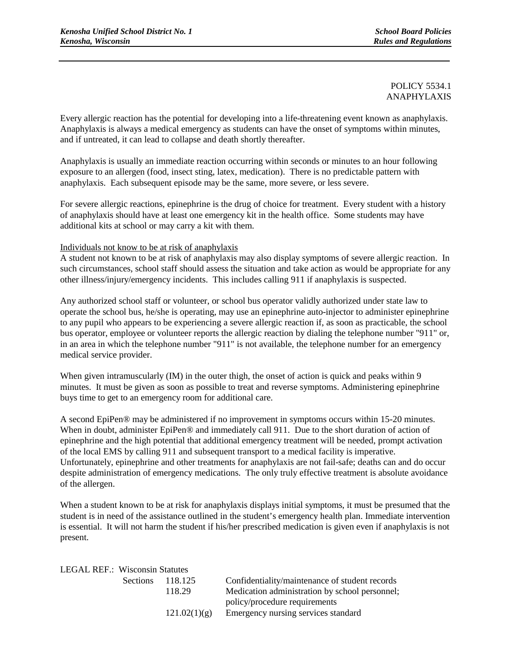# POLICY 5534.1 ANAPHYLAXIS

Every allergic reaction has the potential for developing into a life-threatening event known as anaphylaxis. Anaphylaxis is always a medical emergency as students can have the onset of symptoms within minutes, and if untreated, it can lead to collapse and death shortly thereafter.

Anaphylaxis is usually an immediate reaction occurring within seconds or minutes to an hour following exposure to an allergen (food, insect sting, latex, medication). There is no predictable pattern with anaphylaxis. Each subsequent episode may be the same, more severe, or less severe.

For severe allergic reactions, epinephrine is the drug of choice for treatment. Every student with a history of anaphylaxis should have at least one emergency kit in the health office. Some students may have additional kits at school or may carry a kit with them.

#### Individuals not know to be at risk of anaphylaxis

A student not known to be at risk of anaphylaxis may also display symptoms of severe allergic reaction. In such circumstances, school staff should assess the situation and take action as would be appropriate for any other illness/injury/emergency incidents. This includes calling 911 if anaphylaxis is suspected.

Any authorized school staff or volunteer, or school bus operator validly authorized under state law to operate the school bus, he/she is operating, may use an epinephrine auto-injector to administer epinephrine to any pupil who appears to be experiencing a severe allergic reaction if, as soon as practicable, the school bus operator, employee or volunteer reports the allergic reaction by dialing the telephone number "911" or, in an area in which the telephone number "911" is not available, the telephone number for an emergency medical service provider.

When given intramuscularly (IM) in the outer thigh, the onset of action is quick and peaks within 9 minutes. It must be given as soon as possible to treat and reverse symptoms. Administering epinephrine buys time to get to an emergency room for additional care.

A second EpiPen® may be administered if no improvement in symptoms occurs within 15-20 minutes. When in doubt, administer EpiPen<sup>®</sup> and immediately call 911. Due to the short duration of action of epinephrine and the high potential that additional emergency treatment will be needed, prompt activation of the local EMS by calling 911 and subsequent transport to a medical facility is imperative. Unfortunately, epinephrine and other treatments for anaphylaxis are not fail-safe; deaths can and do occur despite administration of emergency medications. The only truly effective treatment is absolute avoidance of the allergen.

When a student known to be at risk for anaphylaxis displays initial symptoms, it must be presumed that the student is in need of the assistance outlined in the student's emergency health plan. Immediate intervention is essential. It will not harm the student if his/her prescribed medication is given even if anaphylaxis is not present.

| <b>LEGAL REF.: Wisconsin Statutes</b> |              |                                                |  |
|---------------------------------------|--------------|------------------------------------------------|--|
| Sections                              | 118.125      | Confidentiality/maintenance of student records |  |
|                                       | 118.29       | Medication administration by school personnel; |  |
|                                       |              | policy/procedure requirements                  |  |
|                                       | 121.02(1)(g) | Emergency nursing services standard            |  |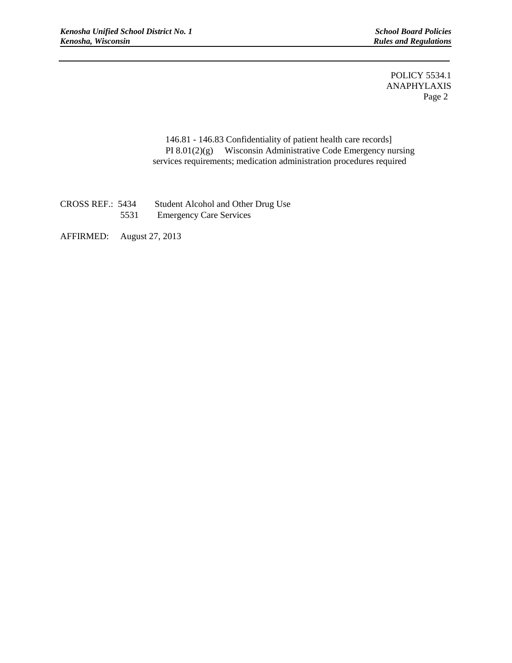**Rules and Regulations** 

i

POLICY 5534.1 ANAPHYLAXIS Page 2

146.81 - 146.83 Confidentiality of patient health care records] PI 8.01(2)(g) Wisconsin Administrative Code Emergency nursing services requirements; medication administration procedures required

CROSS REF.: 5434 Student Alcohol and Other Drug Use 5531 Emergency Care Services

AFFIRMED: August 27, 2013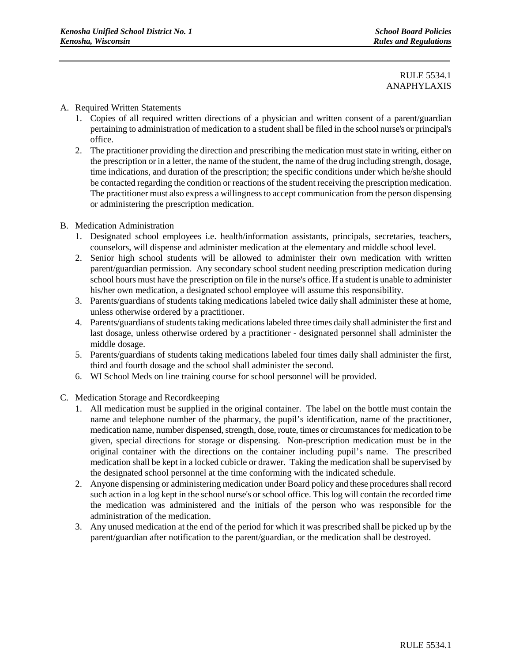# RULE 5534.1 ANAPHYLAXIS

### A. Required Written Statements

- 1. Copies of all required written directions of a physician and written consent of a parent/guardian pertaining to administration of medication to a student shall be filed in the school nurse's or principal's office.
- 2. The practitioner providing the direction and prescribing the medication must state in writing, either on the prescription or in a letter, the name of the student, the name of the drug including strength, dosage, time indications, and duration of the prescription; the specific conditions under which he/she should be contacted regarding the condition or reactions of the student receiving the prescription medication. The practitioner must also express a willingness to accept communication from the person dispensing or administering the prescription medication.
- B. Medication Administration
	- 1. Designated school employees i.e. health/information assistants, principals, secretaries, teachers, counselors, will dispense and administer medication at the elementary and middle school level.
	- 2. Senior high school students will be allowed to administer their own medication with written parent/guardian permission. Any secondary school student needing prescription medication during school hours must have the prescription on file in the nurse's office. If a student is unable to administer his/her own medication, a designated school employee will assume this responsibility.
	- 3. Parents/guardians of students taking medications labeled twice daily shall administer these at home, unless otherwise ordered by a practitioner.
	- 4. Parents/guardians of students taking medications labeled three times daily shall administer the first and last dosage, unless otherwise ordered by a practitioner - designated personnel shall administer the middle dosage.
	- 5. Parents/guardians of students taking medications labeled four times daily shall administer the first, third and fourth dosage and the school shall administer the second.
	- 6. WI School Meds on line training course for school personnel will be provided.
- C. Medication Storage and Recordkeeping
	- 1. All medication must be supplied in the original container. The label on the bottle must contain the name and telephone number of the pharmacy, the pupil's identification, name of the practitioner, medication name, number dispensed, strength, dose, route, times or circumstances for medication to be given, special directions for storage or dispensing. Non-prescription medication must be in the original container with the directions on the container including pupil's name. The prescribed medication shall be kept in a locked cubicle or drawer. Taking the medication shall be supervised by the designated school personnel at the time conforming with the indicated schedule.
	- 2. Anyone dispensing or administering medication under Board policy and these procedures shall record such action in a log kept in the school nurse's or school office. This log will contain the recorded time the medication was administered and the initials of the person who was responsible for the administration of the medication.
	- 3. Any unused medication at the end of the period for which it was prescribed shall be picked up by the parent/guardian after notification to the parent/guardian, or the medication shall be destroyed.